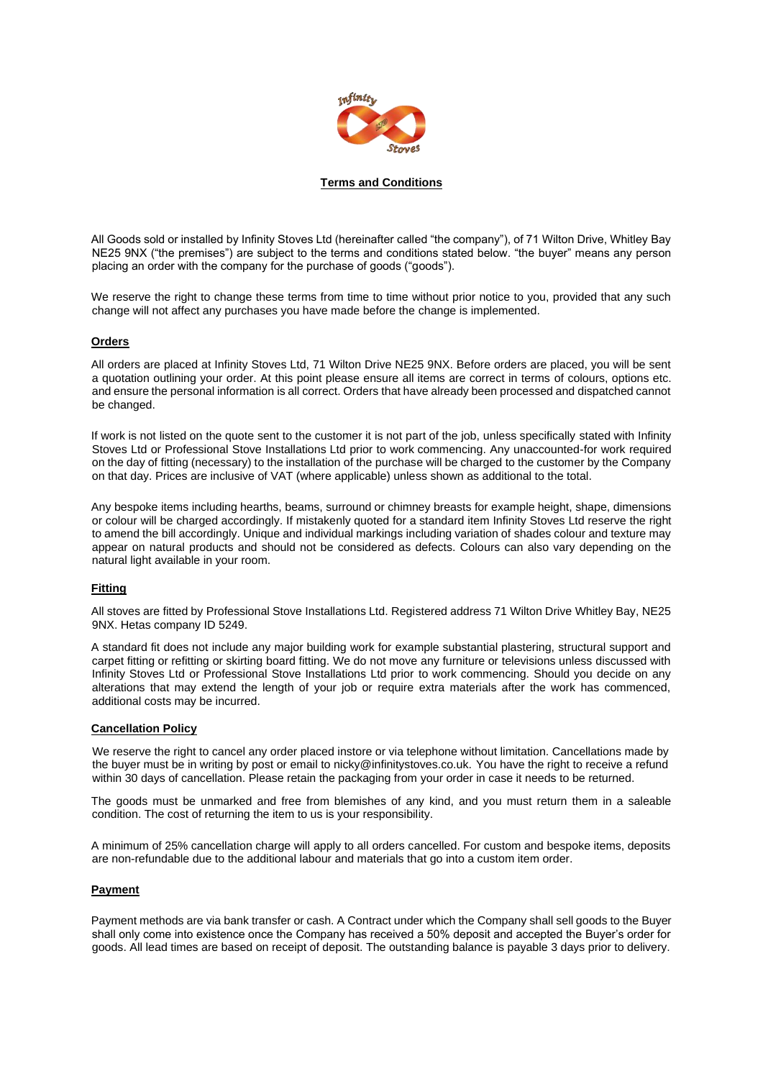

### **Terms and Conditions**

All Goods sold or installed by Infinity Stoves Ltd (hereinafter called "the company"), of 71 Wilton Drive, Whitley Bay NE25 9NX ("the premises") are subject to the terms and conditions stated below. "the buyer" means any person placing an order with the company for the purchase of goods ("goods").

We reserve the right to change these terms from time to time without prior notice to you, provided that any such change will not affect any purchases you have made before the change is implemented.

#### **Orders**

All orders are placed at Infinity Stoves Ltd, 71 Wilton Drive NE25 9NX. Before orders are placed, you will be sent a quotation outlining your order. At this point please ensure all items are correct in terms of colours, options etc. and ensure the personal information is all correct. Orders that have already been processed and dispatched cannot be changed.

If work is not listed on the quote sent to the customer it is not part of the job, unless specifically stated with Infinity Stoves Ltd or Professional Stove Installations Ltd prior to work commencing. Any unaccounted-for work required on the day of fitting (necessary) to the installation of the purchase will be charged to the customer by the Company on that day. Prices are inclusive of VAT (where applicable) unless shown as additional to the total.

Any bespoke items including hearths, beams, surround or chimney breasts for example height, shape, dimensions or colour will be charged accordingly. If mistakenly quoted for a standard item Infinity Stoves Ltd reserve the right to amend the bill accordingly. Unique and individual markings including variation of shades colour and texture may appear on natural products and should not be considered as defects. Colours can also vary depending on the natural light available in your room.

# **Fitting**

All stoves are fitted by Professional Stove Installations Ltd. Registered address 71 Wilton Drive Whitley Bay, NE25 9NX. Hetas company ID 5249.

A standard fit does not include any major building work for example substantial plastering, structural support and carpet fitting or refitting or skirting board fitting. We do not move any furniture or televisions unless discussed with Infinity Stoves Ltd or Professional Stove Installations Ltd prior to work commencing. Should you decide on any alterations that may extend the length of your job or require extra materials after the work has commenced, additional costs may be incurred.

#### **Cancellation Policy**

We reserve the right to cancel any order placed instore or via telephone without limitation. Cancellations made by the buyer must be in writing by post or email to nicky@infinitystoves.co.uk. You have the right to receive a refund within 30 days of cancellation. Please retain the packaging from your order in case it needs to be returned.

The goods must be unmarked and free from blemishes of any kind, and you must return them in a saleable condition. The cost of returning the item to us is your responsibility.

A minimum of 25% cancellation charge will apply to all orders cancelled. For custom and bespoke items, deposits are non-refundable due to the additional labour and materials that go into a custom item order.

#### **Payment**

Payment methods are via bank transfer or cash. A Contract under which the Company shall sell goods to the Buyer shall only come into existence once the Company has received a 50% deposit and accepted the Buyer's order for goods. All lead times are based on receipt of deposit. The outstanding balance is payable 3 days prior to delivery.